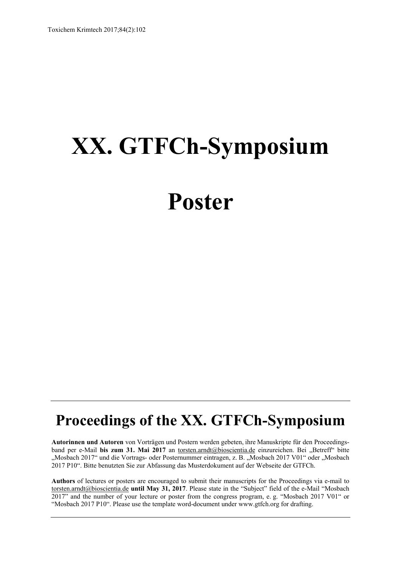# **XX. GTFCh-Symposium**

# **Poster**

## **Proceedings of the XX. GTFCh-Symposium**

**Autorinnen und Autoren** von Vorträgen und Postern werden gebeten, ihre Manuskripte für den Proceedingsband per e-Mail bis zum 31. Mai 2017 an torsten.arndt@bioscientia.de einzureichen. Bei "Betreff" bitte "Mosbach 2017" und die Vortrags- oder Posternummer eintragen, z. B. "Mosbach 2017 V01" oder "Mosbach 2017 P10". Bitte benutzten Sie zur Abfassung das Musterdokument auf der Webseite der GTFCh.

**Authors** of lectures or posters are encouraged to submit their manuscripts for the Proceedings via e-mail to torsten.arndt@bioscientia.de **until May 31, 2017**. Please state in the "Subject" field of the e-Mail "Mosbach 2017" and the number of your lecture or poster from the congress program, e. g. "Mosbach 2017 V01" or "Mosbach 2017 P10". Please use the template word-document under www.gtfch.org for drafting.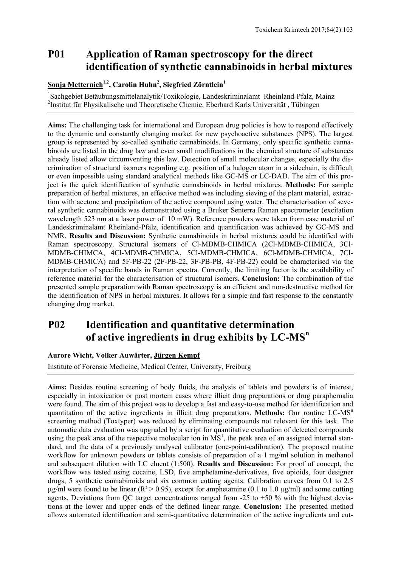## **P01 Application of Raman spectroscopy for the direct identification of synthetic cannabinoidsin herbal mixtures**

#### **<u>Sonja Metternich<sup>1,2</sup>, Carolin Huhn<sup>2</sup>, Siegfried Zörntlein<sup>1</sup></u>**

<sup>1</sup>Sachgebiet Betäubungsmittelanalytik/Toxikologie, Landeskriminalamt Rheinland-Pfalz, Mainz 2 Institut für Physikalische und Theoretische Chemie, Eberhard Karls Universität , Tübingen

**Aims:** The challenging task for international and European drug policies is how to respond effectively to the dynamic and constantly changing market for new psychoactive substances (NPS). The largest group is represented by so-called synthetic cannabinoids. In Germany, only specific synthetic cannabinoids are listed in the drug law and even small modifications in the chemical structure of substances already listed allow circumventing this law. Detection of small molecular changes, especially the discrimination of structural isomers regarding e.g. position of a halogen atom in a sidechain, is difficult or even impossible using standard analytical methods like GC-MS or LC-DAD. The aim of this project is the quick identification of synthetic cannabinoids in herbal mixtures. **Methods:** For sample preparation of herbal mixtures, an effective method was including sieving of the plant material, extraction with acetone and precipitation of the active compound using water. The characterisation of several synthetic cannabinoids was demonstrated using a Bruker Senterra Raman spectrometer (excitation wavelength 523 nm at a laser power of 10 mW). Reference powders were taken from case material of Landeskriminalamt Rheinland-Pfalz, identification and quantification was achieved by GC-MS and NMR. **Results and Discussion:** Synthetic cannabinoids in herbal mixtures could be identified with Raman spectroscopy. Structural isomers of Cl-MDMB-CHMICA (2Cl-MDMB-CHMICA, 3Cl-MDMB-CHIMCA, 4Cl-MDMB-CHMICA, 5Cl-MDMB-CHMICA, 6Cl-MDMB-CHMICA, 7Cl-MDMB-CHMICA) and 5F-PB-22 (2F-PB-22, 3F-PB-PB, 4F-PB-22) could be characterised via the interpretation of specific bands in Raman spectra. Currently, the limiting factor is the availability of reference material for the characterisation of structural isomers. **Conclusion:** The combination of the presented sample preparation with Raman spectroscopy is an efficient and non-destructive method for the identification of NPS in herbal mixtures. It allows for a simple and fast response to the constantly changing drug market.

## **P02 Identification and quantitative determination**  of active ingredients in drug exhibits by LC-MS<sup>n</sup>

#### **Aurore Wicht, Volker Auwärter, Jürgen Kempf**

Institute of Forensic Medicine, Medical Center, University, Freiburg

**Aims:** Besides routine screening of body fluids, the analysis of tablets and powders is of interest, especially in intoxication or post mortem cases where illicit drug preparations or drug paraphernalia were found. The aim of this project was to develop a fast and easy-to-use method for identification and quantitation of the active ingredients in illicit drug preparations. Methods: Our routine LC-MS<sup>n</sup> screening method (Toxtyper) was reduced by eliminating compounds not relevant for this task. The automatic data evaluation was upgraded by a script for quantitative evaluation of detected compounds using the peak area of the respective molecular ion in  $\overline{MS}^1$ , the peak area of an assigned internal standard, and the data of a previously analysed calibrator (one-point-calibration). The proposed routine workflow for unknown powders or tablets consists of preparation of a 1 mg/ml solution in methanol and subsequent dilution with LC eluent (1:500). **Results and Discussion:** For proof of concept, the workflow was tested using cocaine, LSD, five amphetamine-derivatives, five opioids, four designer drugs, 5 synthetic cannabinoids and six common cutting agents. Calibration curves from 0.1 to 2.5  $\mu$ g/ml were found to be linear (R<sup>2</sup> > 0.95), except for amphetamine (0.1 to 1.0  $\mu$ g/ml) and some cutting agents. Deviations from OC target concentrations ranged from  $-25$  to  $+50\%$  with the highest deviations at the lower and upper ends of the defined linear range. **Conclusion:** The presented method allows automated identification and semi-quantitative determination of the active ingredients and cut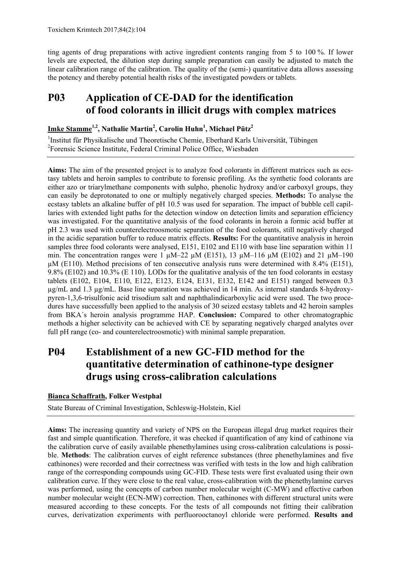ting agents of drug preparations with active ingredient contents ranging from 5 to 100 %. If lower levels are expected, the dilution step during sample preparation can easily be adjusted to match the linear calibration range of the calibration. The quality of the (semi-) quantitative data allows assessing the potency and thereby potential health risks of the investigated powders or tablets.

## **P03 Application of CE-DAD for the identification of food colorants in illicit drugs with complex matrices**

**Imke Stamme1,2, Nathalie Martin2 , Carolin Huhn1 , Michael Pütz2**

<sup>1</sup>Institut für Physikalische und Theoretische Chemie, Eberhard Karls Universität, Tübingen <sup>2</sup>Forensic Science Institute, Federal Criminal Police Office, Wiesbaden

**Aims:** The aim of the presented project is to analyze food colorants in different matrices such as ecstasy tablets and heroin samples to contribute to forensic profiling. As the synthetic food colorants are either azo or triarylmethane components with sulpho, phenolic hydroxy and/or carboxyl groups, they can easily be deprotonated to one or multiply negatively charged species. **Methods:** To analyse the ecstasy tablets an alkaline buffer of pH 10.5 was used for separation. The impact of bubble cell capillaries with extended light paths for the detection window on detection limits and separation efficiency was investigated. For the quantitative analysis of the food colorants in heroin a formic acid buffer at pH 2.3 was used with counterelectroosmotic separation of the food colorants, still negatively charged in the acidic separation buffer to reduce matrix effects. **Results:** For the quantitative analysis in heroin samples three food colorants were analysed, E151, E102 and E110 with base line separation within 11 min. The concentration ranges were 1  $\mu$ M–22  $\mu$ M (E151), 13  $\mu$ M–116  $\mu$ M (E102) and 21  $\mu$ M–190 µM (E110). Method precisions of ten consecutive analysis runs were determined with 8.4% (E151), 9.8% (E102) and 10.3% (E 110). LODs for the qualitative analysis of the ten food colorants in ecstasy tablets (E102, E104, E110, E122, E123, E124, E131, E132, E142 and E151) ranged between 0.3 µg/mL and 1.3 µg/mL. Base line separation was achieved in 14 min. As internal standards 8-hydroxypyren-1,3,6-trisulfonic acid trisodium salt and naphthalindicarboxylic acid were used. The two procedures have successfully been applied to the analysis of 30 seized ecstasy tablets and 42 heroin samples from BKA´s heroin analysis programme HAP. **Conclusion:** Compared to other chromatographic methods a higher selectivity can be achieved with CE by separating negatively charged analytes over full pH range (co- and counterelectroosmotic) with minimal sample preparation.

## **P04 Establishment of a new GC-FID method for the quantitative determination of cathinone-type designer drugs using cross-calibration calculations**

#### **Bianca Schaffrath, Folker Westphal**

State Bureau of Criminal Investigation, Schleswig-Holstein, Kiel

**Aims:** The increasing quantity and variety of NPS on the European illegal drug market requires their fast and simple quantification. Therefore, it was checked if quantification of any kind of cathinone via the calibration curve of easily available phenethylamines using cross-calibration calculations is possible. **Methods**: The calibration curves of eight reference substances (three phenethylamines and five cathinones) were recorded and their correctness was verified with tests in the low and high calibration range of the corresponding compounds using GC-FID. These tests were first evaluated using their own calibration curve. If they were close to the real value, cross-calibration with the phenethylamine curves was performed, using the concepts of carbon number molecular weight (C-MW) and effective carbon number molecular weight (ECN-MW) correction. Then, cathinones with different structural units were measured according to these concepts. For the tests of all compounds not fitting their calibration curves, derivatization experiments with perfluorooctanoyl chloride were performed. **Results and**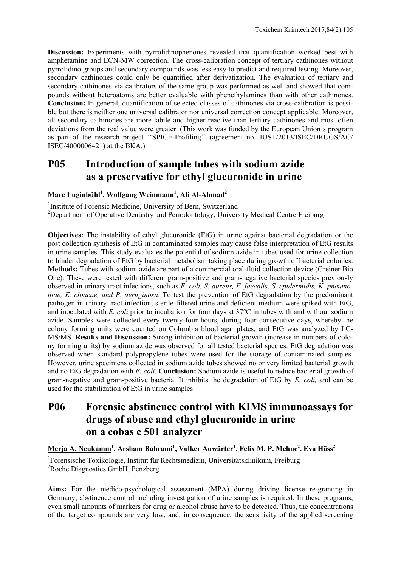**Discussion:** Experiments with pyrrolidinophenones revealed that quantification worked best with amphetamine and ECN-MW correction. The cross-calibration concept of tertiary cathinones without pyrrolidino groups and secondary compounds was less easy to predict and required testing. Moreover, secondary cathinones could only be quantified after derivatization. The evaluation of tertiary and secondary cathinones via calibrators of the same group was performed as well and showed that compounds without heteroatoms are better evaluable with phenethylamines than with other cathinones. **Conclusion:** In general, quantification of selected classes of cathinones via cross-calibration is possible but there is neither one universal calibrator nor universal correction concept applicable. Moreover, all secondary cathinones are more labile and higher reactive than tertiary cathinones and most often deviations from the real value were greater. (This work was funded by the European Union´s program as part of the research project ''SPICE-Profiling'' (agreement no. JUST/2013/ISEC/DRUGS/AG/ ISEC/4000006421) at the BKA.)

## **P05 Introduction of sample tubes with sodium azide as a preservative for ethyl glucuronide in urine**

**Marc Luginbühl<sup>1</sup> , Wolfgang Weinmann1 , Ali Al-Ahmad2**

<sup>1</sup>Institute of Forensic Medicine, University of Bern, Switzerland <sup>2</sup>Department of Operative Dentistry and Periodontology, University Medical Centre Freiburg

**Objectives:** The instability of ethyl glucuronide (EtG) in urine against bacterial degradation or the post collection synthesis of EtG in contaminated samples may cause false interpretation of EtG results in urine samples. This study evaluates the potential of sodium azide in tubes used for urine collection to hinder degradation of EtG by bacterial metabolism taking place during growth of bacterial colonies. **Methods:** Tubes with sodium azide are part of a commercial oral-fluid collection device (Greiner Bio One). These were tested with different gram-positive and gram-negative bacterial species previously observed in urinary tract infections, such as *E. coli, S. aureus, E. faecalis, S. epidermidis, K. pneumoniae, E. cloacae, and P. aeruginosa*. To test the prevention of EtG degradation by the predominant pathogen in urinary tract infection, sterile-filtered urine and deficient medium were spiked with EtG, and inoculated with *E. coli* prior to incubation for four days at 37°C in tubes with and without sodium azide. Samples were collected every twenty-four hours, during four consecutive days, whereby the colony forming units were counted on Columbia blood agar plates, and EtG was analyzed by LC-MS/MS. **Results and Discussion:** Strong inhibition of bacterial growth (increase in numbers of colony forming units) by sodium azide was observed for all tested bacterial species. EtG degradation was observed when standard polypropylene tubes were used for the storage of contaminated samples. However, urine specimens collected in sodium azide tubes showed no or very limited bacterial growth and no EtG degradation with *E. coli*. **Conclusion:** Sodium azide is useful to reduce bacterial growth of gram-negative and gram-positive bacteria. It inhibits the degradation of EtG by *E. coli,* and can be used for the stabilization of EtG in urine samples.

## **P06 Forensic abstinence control with KIMS immunoassays for drugs of abuse and ethyl glucuronide in urine on a cobas c 501 analyzer**

**Merja A. Neukamm1 , Arsham Bahrami1 , Volker Auwärter1 , Felix M. P. Mehne2 , Eva Höss<sup>2</sup>**

1 Forensische Toxikologie, Institut für Rechtsmedizin, Universitätsklinikum, Freiburg 2 Roche Diagnostics GmbH, Penzberg

**Aims:** For the medico-psychological assessment (MPA) during driving license re-granting in Germany, abstinence control including investigation of urine samples is required. In these programs, even small amounts of markers for drug or alcohol abuse have to be detected. Thus, the concentrations of the target compounds are very low, and, in consequence, the sensitivity of the applied screening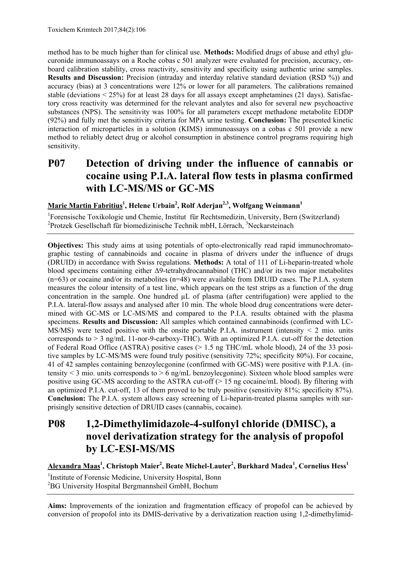method has to be much higher than for clinical use. **Methods:** Modified drugs of abuse and ethyl glucuronide immunoassays on a Roche cobas c 501 analyzer were evaluated for precision, accuracy, onboard calibration stability, cross reactivity, sensitivity and specificity using authentic urine samples. **Results and Discussion:** Precision (intraday and interday relative standard deviation (RSD %)) and accuracy (bias) at 3 concentrations were 12% or lower for all parameters. The calibrations remained stable (deviations < 25%) for at least 28 days for all assays except amphetamines (21 days). Satisfactory cross reactivity was determined for the relevant analytes and also for several new psychoactive substances (NPS). The sensitivity was 100% for all parameters except methadone metabolite EDDP (92%) and fully met the sensitivity criteria for MPA urine testing. **Conclusion:** The presented kinetic interaction of microparticles in a solution (KIMS) immunoassays on a cobas c 501 provide a new method to reliably detect drug or alcohol consumption in abstinence control programs requiring high sensitivity.

## **P07 Detection of driving under the influence of cannabis or cocaine using P.I.A. lateral flow tests in plasma confirmed with LC-MS/MS or GC-MS**

#### **Marie Martin Fabritius1 , Helene Urbain2 , Rolf Aderjan2,3, Wolfgang Weinmann1**

<sup>1</sup>Forensische Toxikologie und Chemie, Institut für Rechtsmedizin, University, Bern (Switzerland) <sup>2</sup>Protzek Gesellschaft für biomedizinische Technik mbH, Lörrach, <sup>3</sup>Neckarsteinach

**Objectives:** This study aims at using potentials of opto-electronically read rapid immunochromatographic testing of cannabinoids and cocaine in plasma of drivers under the influence of drugs (DRUID) in accordance with Swiss regulations. **Methods:** A total of 111 of Li-heparin-treated whole blood specimens containing either Δ9-tetrahydrocannabinol (THC) and/or its two major metabolites  $(n=63)$  or cocaine and/or its metabolites  $(n=48)$  were available from DRUID cases. The P.I.A. system measures the colour intensity of a test line, which appears on the test strips as a function of the drug concentration in the sample. One hundred  $\mu$ L of plasma (after centrifugation) were applied to the P.I.A. lateral-flow assays and analysed after 10 min. The whole blood drug concentrations were determined with GC-MS or LC-MS/MS and compared to the P.I.A. results obtained with the plasma specimens. **Results and Discussion:** All samples which contained cannabinoids (confirmed with LC- $MS/MS$ ) were tested positive with the onsite portable P.I.A. instrument (intensity  $\leq$  2 mio. units corresponds to  $> 3$  ng/mL 11-nor-9-carboxy-THC). With an optimized P.I.A. cut-off for the detection of Federal Road Office (ASTRA) positive cases (> 1.5 ng THC/mL whole blood), 24 of the 33 positive samples by LC-MS/MS were found truly positive (sensitivity 72%; specificity 80%). For cocaine, 41 of 42 samples containing benzoylecgonine (confirmed with GC-MS) were positive with P.I.A. (intensity  $\leq$  3 mio. units corresponds to  $\geq$  6 ng/mL benzoylecgonine). Sixteen whole blood samples were positive using GC-MS according to the ASTRA cut-off  $(> 15 \text{ ng cocaine/mL blood})$ . By filtering with an optimized P.I.A. cut-off, 13 of them proved to be truly positive (sensitivity 81%; specificity 87%). **Conclusion:** The P.I.A. system allows easy screening of Li-heparin-treated plasma samples with surprisingly sensitive detection of DRUID cases (cannabis, cocaine).

## **P08 1,2-Dimethylimidazole-4-sulfonyl chloride (DMISC), a novel derivatization strategy for the analysis of propofol by LC-ESI-MS/MS**

**Alexandra Maas1 , Christoph Maier2 , Beate Michel-Lauter<sup>2</sup> , Burkhard Madea<sup>1</sup> , Cornelius Hess1** 

<sup>1</sup>Institute of Forensic Medicine, University Hospital, Bonn 2 BG University Hospital Bergmannsheil GmbH, Bochum

**Aims:** Improvements of the ionization and fragmentation efficacy of propofol can be achieved by conversion of propofol into its DMIS-derivative by a derivatization reaction using 1,2-dimethylimid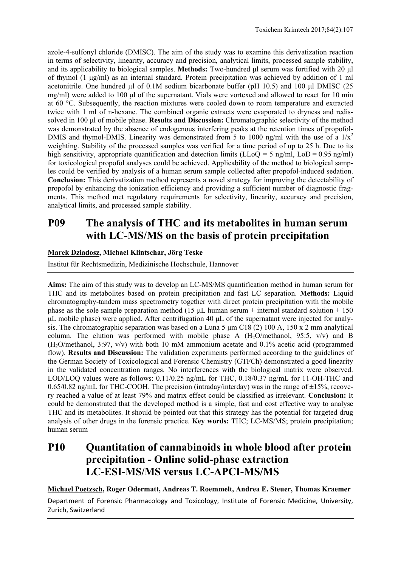azole-4-sulfonyl chloride (DMISC). The aim of the study was to examine this derivatization reaction in terms of selectivity, linearity, accuracy and precision, analytical limits, processed sample stability, and its applicability to biological samples. **Methods:** Two-hundred μl serum was fortified with 20 μl of thymol (1 μg/ml) as an internal standard. Protein precipitation was achieved by addition of 1 ml acetonitrile. One hundred μl of 0.1M sodium bicarbonate buffer (pH 10.5) and 100 μl DMISC (25 mg/ml) were added to 100 μl of the supernatant. Vials were vortexed and allowed to react for 10 min at 60 °C. Subsequently, the reaction mixtures were cooled down to room temperature and extracted twice with 1 ml of n-hexane. The combined organic extracts were evaporated to dryness and redissolved in 100 μl of mobile phase. **Results and Discussion:** Chromatographic selectivity of the method was demonstrated by the absence of endogenous interfering peaks at the retention times of propofol-DMIS and thymol-DMIS. Linearity was demonstrated from 5 to 1000 ng/ml with the use of a  $1/x^2$ weighting. Stability of the processed samples was verified for a time period of up to 25 h. Due to its high sensitivity, appropriate quantification and detection limits ( $LLoQ = 5$  ng/ml,  $LoD = 0.95$  ng/ml) for toxicological propofol analyses could be achieved. Applicability of the method to biological samples could be verified by analysis of a human serum sample collected after propofol-induced sedation. **Conclusion:** This derivatization method represents a novel strategy for improving the detectability of propofol by enhancing the ionization efficiency and providing a sufficient number of diagnostic fragments. This method met regulatory requirements for selectivity, linearity, accuracy and precision, analytical limits, and processed sample stability.

## **P09 The analysis of THC and its metabolites in human serum with LC-MS/MS on the basis of protein precipitation**

#### **Marek Dziadosz, Michael Klintschar, Jörg Teske**

Institut für Rechtsmedizin, Medizinische Hochschule, Hannover

**Aims:** The aim of this study was to develop an LC-MS/MS quantification method in human serum for THC and its metabolites based on protein precipitation and fast LC separation. **Methods:** Liquid chromatography-tandem mass spectrometry together with direct protein precipitation with the mobile phase as the sole sample preparation method (15  $\mu$ L human serum + internal standard solution + 150 μL mobile phase) were applied. After centrifugation 40 μL of the supernatant were injected for analysis. The chromatographic separation was based on a Luna 5 μm C18 (2) 100 A, 150 x 2 mm analytical column. The elution was performed with mobile phase A  $(H<sub>2</sub>O/methanol, 95:5, v/v)$  and B  $(H<sub>2</sub>O/methanol, 3:97, v/v)$  with both 10 mM ammonium acetate and 0.1% acetic acid (programmed flow). **Results and Discussion:** The validation experiments performed according to the guidelines of the German Society of Toxicological and Forensic Chemistry (GTFCh) demonstrated a good linearity in the validated concentration ranges. No interferences with the biological matrix were observed. LOD/LOQ values were as follows: 0.11/0.25 ng/mL for THC, 0.18/0.37 ng/mL for 11-OH-THC and  $0.65/0.82$  ng/mL for THC-COOH. The precision (intraday/interday) was in the range of  $\pm 15$ %, recovery reached a value of at least 79% and matrix effect could be classified as irrelevant. **Conclusion:** It could be demonstrated that the developed method is a simple, fast and cost effective way to analyse THC and its metabolites. It should be pointed out that this strategy has the potential for targeted drug analysis of other drugs in the forensic practice. **Key words:** THC; LC-MS/MS; protein precipitation; human serum

## **P10 Quantitation of cannabinoids in whole blood after protein precipitation - Online solid-phase extraction LC-ESI-MS/MS versus LC-APCI-MS/MS**

**Michael Poetzsch, Roger Odermatt, Andreas T. Roemmelt, Andrea E. Steuer, Thomas Kraemer** 

Department of Forensic Pharmacology and Toxicology, Institute of Forensic Medicine, University, Zurich, Switzerland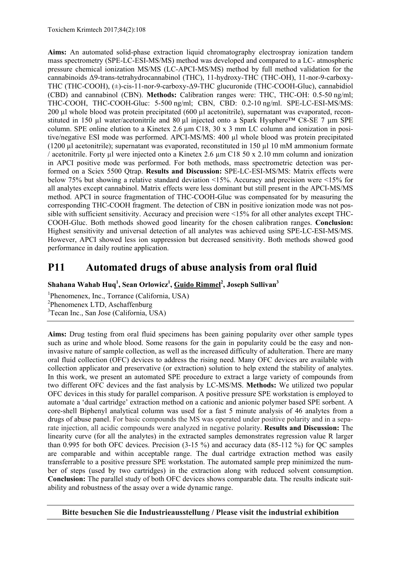**Aims:** An automated solid-phase extraction liquid chromatography electrospray ionization tandem mass spectrometry (SPE-LC-ESI-MS/MS) method was developed and compared to a LC- atmospheric pressure chemical ionization MS/MS (LC-APCI-MS/MS) method by full method validation for the cannabinoids Δ9-trans-tetrahydrocannabinol (THC), 11-hydroxy-THC (THC-OH), 11-nor-9-carboxy-THC (THC-COOH), (±)-cis-11-nor-9-carboxy-Δ9-THC glucuronide (THC-COOH-Gluc), cannabidiol (CBD) and cannabinol (CBN). **Methods:** Calibration ranges were: THC, THC-OH: 0.5-50 ng/ml; THC-COOH, THC-COOH-Gluc: 5-500 ng/ml; CBN, CBD: 0.2-10 ng/ml. SPE-LC-ESI-MS/MS: 200 µl whole blood was protein precipitated (600 µl acetonitrile), supernatant was evaporated, reconstituted in 150 µl water/acetonitrile and 80 µl injected onto a Spark Hysphere™ C8-SE 7 µm SPE column. SPE online elution to a Kinetex 2.6 µm C18, 30 x 3 mm LC column and ionization in positive/negative ESI mode was performed. APCI-MS/MS: 400 µl whole blood was protein precipitated  $(1200 \text{ ul acetonitrile})$ : supernatant was evaporated, reconstituted in 150  $\text{ul } 10 \text{ mM ammonium formate}$ / acetonitrile. Forty µl were injected onto a Kinetex 2.6 µm C18 50 x 2.10 mm column and ionization in APCI positive mode was performed. For both methods, mass spectrometric detection was performed on a Sciex 5500 Qtrap. **Results and Discussion:** SPE-LC-ESI-MS/MS: Matrix effects were below 75% but showing a relative standard deviation <15%. Accuracy and precision were <15% for all analytes except cannabinol. Matrix effects were less dominant but still present in the APCI-MS/MS method. APCI in source fragmentation of THC-COOH-Gluc was compensated for by measuring the corresponding THC-COOH fragment. The detection of CBN in positive ionization mode was not possible with sufficient sensitivity. Accuracy and precision were <15% for all other analytes except THC-COOH-Gluc. Both methods showed good linearity for the chosen calibration ranges. **Conclusion:** Highest sensitivity and universal detection of all analytes was achieved using SPE-LC-ESI-MS/MS. However, APCI showed less ion suppression but decreased sensitivity. Both methods showed good performance in daily routine application.

## **P11 Automated drugs of abuse analysis from oral fluid**

 $\boldsymbol{\mathrm{Sh}}$ ahana Wahab Huq<sup>1</sup>, Sean Orlowicz<sup>1</sup>, <u>Guido Rimmel<sup>2</sup>, Joseph Sullivan $^3$ </u>

1 Phenomenex, Inc., Torrance (California, USA) 2 Phenomenex LTD, Aschaffenburg 3 Tecan Inc., San Jose (California, USA)

**Aims:** Drug testing from oral fluid specimens has been gaining popularity over other sample types such as urine and whole blood. Some reasons for the gain in popularity could be the easy and noninvasive nature of sample collection, as well as the increased difficulty of adulteration. There are many oral fluid collection (OFC) devices to address the rising need. Many OFC devices are available with collection applicator and preservative (or extraction) solution to help extend the stability of analytes. In this work, we present an automated SPE procedure to extract a large variety of compounds from two different OFC devices and the fast analysis by LC-MS/MS. **Methods:** We utilized two popular OFC devices in this study for parallel comparison. A positive pressure SPE workstation is employed to automate a 'dual cartridge' extraction method on a cationic and anionic polymer based SPE sorbent. A core-shell Biphenyl analytical column was used for a fast 5 minute analysis of 46 analytes from a drugs of abuse panel. For basic compounds the MS was operated under positive polarity and in a separate injection, all acidic compounds were analyzed in negative polarity. **Results and Discussion:** The linearity curve (for all the analytes) in the extracted samples demonstrates regression value R larger than 0.995 for both OFC devices. Precision (3-15 %) and accuracy data (85-112 %) for QC samples are comparable and within acceptable range. The dual cartridge extraction method was easily transferrable to a positive pressure SPE workstation. The automated sample prep minimized the number of steps (used by two cartridges) in the extraction along with reduced solvent consumption. **Conclusion:** The parallel study of both OFC devices shows comparable data. The results indicate suitability and robustness of the assay over a wide dynamic range.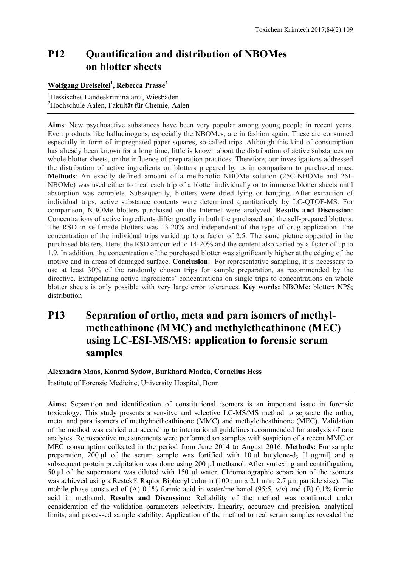## **P12 Quantification and distribution of NBOMes on blotter sheets**

#### $\frac{1}{2}$  Wolfgang Dreiseitel<sup>1</sup>, Rebecca Prasse<sup>2</sup>

1 Hessisches Landeskriminalamt, Wiesbaden 2 Hochschule Aalen, Fakultät für Chemie, Aalen

**Aims**: New psychoactive substances have been very popular among young people in recent years. Even products like hallucinogens, especially the NBOMes, are in fashion again. These are consumed especially in form of impregnated paper squares, so-called trips. Although this kind of consumption has already been known for a long time, little is known about the distribution of active substances on whole blotter sheets, or the influence of preparation practices. Therefore, our investigations addressed the distribution of active ingredients on blotters prepared by us in comparison to purchased ones. **Methods**: An exactly defined amount of a methanolic NBOMe solution (25C-NBOMe and 25I-NBOMe) was used either to treat each trip of a blotter individually or to immerse blotter sheets until absorption was complete. Subsequently, blotters were dried lying or hanging. After extraction of individual trips, active substance contents were determined quantitatively by LC-QTOF-MS. For comparison, NBOMe blotters purchased on the Internet were analyzed. **Results and Discussion**: Concentrations of active ingredients differ greatly in both the purchased and the self-prepared blotters. The RSD in self-made blotters was 13-20% and independent of the type of drug application. The concentration of the individual trips varied up to a factor of 2.5. The same picture appeared in the purchased blotters. Here, the RSD amounted to 14-20% and the content also varied by a factor of up to 1.9. In addition, the concentration of the purchased blotter was significantly higher at the edging of the motive and in areas of damaged surface. **Conclusion**: For representative sampling, it is necessary to use at least 30% of the randomly chosen trips for sample preparation, as recommended by the directive. Extrapolating active ingredients' concentrations on single trips to concentrations on whole blotter sheets is only possible with very large error tolerances. **Key words:** NBOMe; blotter; NPS; distribution

## **P13 Separation of ortho, meta and para isomers of methylmethcathinone (MMC) and methylethcathinone (MEC) using LC-ESI-MS/MS: application to forensic serum samples**

#### **Alexandra Maas, Konrad Sydow, Burkhard Madea, Cornelius Hess**

Institute of Forensic Medicine, University Hospital, Bonn

**Aims:** Separation and identification of constitutional isomers is an important issue in forensic toxicology. This study presents a sensitve and selective LC-MS/MS method to separate the ortho, meta, and para isomers of methylmethcathinone (MMC) and methylethcathinone (MEC). Validation of the method was carried out according to international guidelines recommended for analysis of rare analytes. Retrospective measurements were performed on samples with suspicion of a recent MMC or MEC consumption collected in the period from June 2014 to August 2016. **Methods:** For sample preparation, 200 µl of the serum sample was fortified with 10 µl butylone-d<sub>3</sub> [1 µg/ml] and a subsequent protein precipitation was done using 200 µl methanol. After vortexing and centrifugation, 50 µl of the supernatant was diluted with 150 µl water. Chromatographic separation of the isomers was achieved using a Restek® Raptor Biphenyl column (100 mm x 2.1 mm, 2.7 µm particle size). The mobile phase consisted of (A) 0.1% formic acid in water/methanol (95:5, v/v) and (B) 0.1% formic acid in methanol. **Results and Discussion:** Reliability of the method was confirmed under consideration of the validation parameters selectivity, linearity, accuracy and precision, analytical limits, and processed sample stability. Application of the method to real serum samples revealed the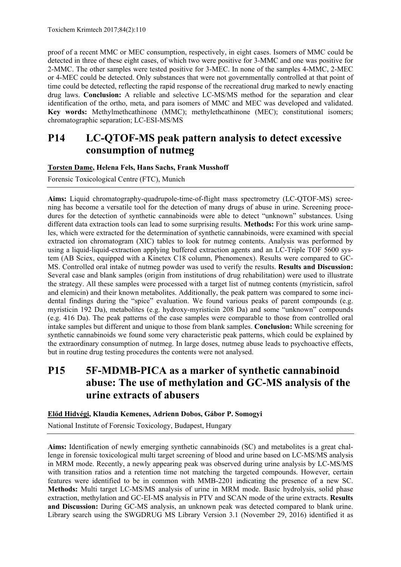proof of a recent MMC or MEC consumption, respectively, in eight cases. Isomers of MMC could be detected in three of these eight cases, of which two were positive for 3-MMC and one was positive for 2-MMC. The other samples were tested positive for 3-MEC. In none of the samples 4-MMC, 2-MEC or 4-MEC could be detected. Only substances that were not governmentally controlled at that point of time could be detected, reflecting the rapid response of the recreational drug marked to newly enacting drug laws. **Conclusion:** A reliable and selective LC-MS/MS method for the separation and clear identification of the ortho, meta, and para isomers of MMC and MEC was developed and validated. **Key words:** Methylmethcathinone (MMC); methylethcathinone (MEC); constitutional isomers; chromatographic separation; LC-ESI-MS/MS

## **P14 LC-QTOF-MS peak pattern analysis to detect excessive consumption of nutmeg**

**Torsten Dame, Helena Fels, Hans Sachs, Frank Musshoff** 

Forensic Toxicological Centre (FTC), Munich

**Aims:** Liquid chromatography-quadrupole-time-of-flight mass spectrometry (LC-QTOF-MS) screening has become a versatile tool for the detection of many drugs of abuse in urine. Screening procedures for the detection of synthetic cannabinoids were able to detect "unknown" substances. Using different data extraction tools can lead to some surprising results. **Methods:** For this work urine samples, which were extracted for the determination of synthetic cannabinoids, were examined with special extracted ion chromatogram (XIC) tables to look for nutmeg contents. Analysis was performed by using a liquid-liquid-extraction applying buffered extraction agents and an LC-Triple TOF 5600 system (AB Sciex, equipped with a Kinetex C18 column, Phenomenex). Results were compared to GC-MS. Controlled oral intake of nutmeg powder was used to verify the results. **Results and Discussion:** Several case and blank samples (origin from institutions of drug rehabilitation) were used to illustrate the strategy. All these samples were processed with a target list of nutmeg contents (myristicin, safrol and elemicin) and their known metabolites. Additionally, the peak pattern was compared to some incidental findings during the "spice" evaluation. We found various peaks of parent compounds (e.g. myristicin 192 Da), metabolites (e.g. hydroxy-myristicin 208 Da) and some "unknown" compounds (e.g. 416 Da). The peak patterns of the case samples were comparable to those from controlled oral intake samples but different and unique to those from blank samples. **Conclusion:** While screening for synthetic cannabinoids we found some very characteristic peak patterns, which could be explained by the extraordinary consumption of nutmeg. In large doses, nutmeg abuse leads to psychoactive effects, but in routine drug testing procedures the contents were not analysed.

## **P15 5F-MDMB-PICA as a marker of synthetic cannabinoid abuse: The use of methylation and GC-MS analysis of the urine extracts of abusers**

**Előd Hidvégi, Klaudia Kemenes, Adrienn Dobos, Gábor P. Somogyi** 

National Institute of Forensic Toxicology, Budapest, Hungary

**Aims:** Identification of newly emerging synthetic cannabinoids (SC) and metabolites is a great challenge in forensic toxicological multi target screening of blood and urine based on LC-MS/MS analysis in MRM mode. Recently, a newly appearing peak was observed during urine analysis by LC-MS/MS with transition ratios and a retention time not matching the targeted compounds. However, certain features were identified to be in common with MMB-2201 indicating the presence of a new SC. **Methods:** Multi target LC-MS/MS analysis of urine in MRM mode. Basic hydrolysis, solid phase extraction, methylation and GC-EI-MS analysis in PTV and SCAN mode of the urine extracts. **Results and Discussion:** During GC-MS analysis, an unknown peak was detected compared to blank urine. Library search using the SWGDRUG MS Library Version 3.1 (November 29, 2016) identified it as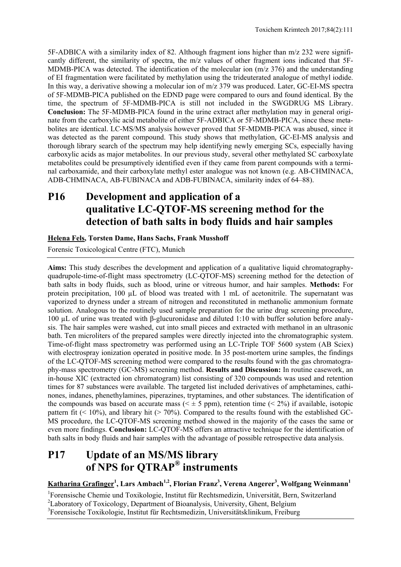5F-ADBICA with a similarity index of 82. Although fragment ions higher than m/z 232 were significantly different, the similarity of spectra, the m/z values of other fragment ions indicated that 5F-MDMB-PICA was detected. The identification of the molecular ion (m/z 376) and the understanding of EI fragmentation were facilitated by methylation using the trideuterated analogue of methyl iodide. In this way, a derivative showing a molecular ion of m/z 379 was produced. Later, GC-EI-MS spectra of 5F-MDMB-PICA published on the EDND page were compared to ours and found identical. By the time, the spectrum of 5F-MDMB-PICA is still not included in the SWGDRUG MS Library. **Conclusion:** The 5F-MDMB-PICA found in the urine extract after methylation may in general originate from the carboxylic acid metabolite of either 5F-ADBICA or 5F-MDMB-PICA, since these metabolites are identical. LC-MS/MS analysis however proved that 5F-MDMB-PICA was abused, since it was detected as the parent compound. This study shows that methylation, GC-EI-MS analysis and thorough library search of the spectrum may help identifying newly emerging SCs, especially having carboxylic acids as major metabolites. In our previous study, several other methylated SC carboxylate metabolites could be presumptively identified even if they came from parent compounds with a terminal carboxamide, and their carboxylate methyl ester analogue was not known (e.g. AB-CHMINACA, ADB-CHMINACA, AB-FUBINACA and ADB-FUBINACA, similarity index of 64–88).

## **P16 Development and application of a qualitative LC-QTOF-MS screening method for the detection of bath salts in body fluids and hair samples**

#### **Helena Fels, Torsten Dame, Hans Sachs, Frank Musshoff**

Forensic Toxicological Centre (FTC), Munich

**Aims:** This study describes the development and application of a qualitative liquid chromatographyquadrupole-time-of-flight mass spectrometry (LC-QTOF-MS) screening method for the detection of bath salts in body fluids, such as blood, urine or vitreous humor, and hair samples. **Methods:** For protein precipitation, 100 µL of blood was treated with 1 mL of acetonitrile. The supernatant was vaporized to dryness under a stream of nitrogen and reconstituted in methanolic ammonium formate solution. Analogous to the routinely used sample preparation for the urine drug screening procedure, 100 µL of urine was treated with β-glucuronidase and diluted 1:10 with buffer solution before analysis. The hair samples were washed, cut into small pieces and extracted with methanol in an ultrasonic bath. Ten microliters of the prepared samples were directly injected into the chromatographic system. Time-of-flight mass spectrometry was performed using an LC-Triple TOF 5600 system (AB Sciex) with electrospray ionization operated in positive mode. In 35 post-mortem urine samples, the findings of the LC-QTOF-MS screening method were compared to the results found with the gas chromatography-mass spectrometry (GC-MS) screening method. **Results and Discussion:** In routine casework, an in-house XIC (extracted ion chromatogram) list consisting of 320 compounds was used and retention times for 87 substances were available. The targeted list included derivatives of amphetamines, cathinones, indanes, phenethylamines, piperazines, tryptamines, and other substances. The identification of the compounds was based on accurate mass ( $\leq \pm 5$  ppm), retention time ( $\leq 2\%$ ) if available, isotopic pattern fit  $(< 10\%)$ , and library hit  $(> 70\%)$ . Compared to the results found with the established GC-MS procedure, the LC-QTOF-MS screening method showed in the majority of the cases the same or even more findings. **Conclusion:** LC-QTOF-MS offers an attractive technique for the identification of bath salts in body fluids and hair samples with the advantage of possible retrospective data analysis.

## **P17 Update of an MS/MS library of NPS for QTRAP® instruments**

**Katharina Grafinger1 , Lars Ambach1,2, Florian Franz3 , Verena Angerer3 , Wolfgang Weinmann<sup>1</sup>** 

1 Forensische Chemie und Toxikologie, Institut für Rechtsmedizin, Universität, Bern, Switzerland

<sup>2</sup>Laboratory of Toxicology, Department of Bioanalysis, University, Ghent, Belgium

3 Forensische Toxikologie, Institut für Rechtsmedizin, Universitätsklinikum, Freiburg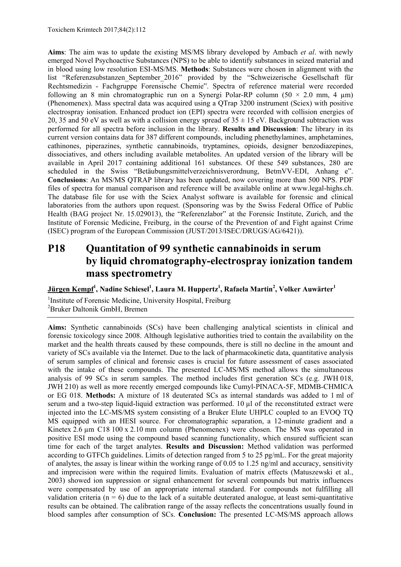**Aims**: The aim was to update the existing MS/MS library developed by Ambach *et al*. with newly emerged Novel Psychoactive Substances (NPS) to be able to identify substances in seized material and in blood using low resolution ESI-MS/MS. **Methods**: Substances were chosen in alignment with the list "Referenzsubstanzen\_September\_2016" provided by the "Schweizerische Gesellschaft für Rechtsmedizin - Fachgruppe Forensische Chemie". Spectra of reference material were recorded following an 8 min chromatographic run on a Synergi Polar-RP column  $(50 \times 2.0 \text{ mm}, 4 \text{ mm})$ (Phenomenex). Mass spectral data was acquired using a QTrap 3200 instrument (Sciex) with positive electrospray ionisation. Enhanced product ion (EPI) spectra were recorded with collision energies of 20, 35 and 50 eV as well as with a collision energy spread of  $35 \pm 15$  eV. Background subtraction was performed for all spectra before inclusion in the library. **Results and Discussion**: The library in its current version contains data for 387 different compounds, including phenethylamines, amphetamines, cathinones, piperazines, synthetic cannabinoids, tryptamines, opioids, designer benzodiazepines, dissociatives, and others including available metabolites. An updated version of the library will be available in April 2017 containing additional 161 substances. Of these 549 substances, 280 are scheduled in the Swiss "Betäubungsmittelverzeichnisverordnung, BetmVV-EDI, Anhang e". **Conclusions**: An MS/MS QTRAP library has been updated, now covering more than 500 NPS. PDF files of spectra for manual comparison and reference will be available online at www.legal-highs.ch. The database file for use with the Sciex Analyst software is available for forensic and clinical laboratories from the authors upon request. (Sponsoring was by the Swiss Federal Office of Public Health (BAG project Nr. 15.029013), the "Referenzlabor" at the Forensic Institute, Zurich, and the Institute of Forensic Medicine, Freiburg, in the course of the Prevention of and Fight against Crime (ISEC) program of the European Commission (JUST/2013/ISEC/DRUGS/AG/6421)).

## **P18 Quantitation of 99 synthetic cannabinoids in serum by liquid chromatography-electrospray ionization tandem mass spectrometry**

 $\bf{Jürgen Kempf}^{\bf 1}, \bf{N}$ adine Schiesel $^{\bf 1}, \bf{L}$ aura M. Huppertz $^{\bf 1}, \bf{R}$ afaela Martin $^{\bf 2}, \bf{V}$ olker Auwärter $^{\bf 1}$ 

<sup>1</sup>Institute of Forensic Medicine, University Hospital, Freiburg 2 Bruker Daltonik GmbH, Bremen

**Aims:** Synthetic cannabinoids (SCs) have been challenging analytical scientists in clinical and forensic toxicology since 2008. Although legislative authorities tried to contain the availability on the market and the health threats caused by these compounds, there is still no decline in the amount and variety of SCs available via the Internet. Due to the lack of pharmacokinetic data, quantitative analysis of serum samples of clinical and forensic cases is crucial for future assessment of cases associated with the intake of these compounds. The presented LC-MS/MS method allows the simultaneous analysis of 99 SCs in serum samples. The method includes first generation SCs (e.g. JWH 018, JWH 210) as well as more recently emerged compounds like Cumyl-PINACA-5F, MDMB-CHMICA or EG 018. **Methods:** A mixture of 18 deuterated SCs as internal standards was added to 1 ml of serum and a two-step liquid-liquid extraction was performed. 10 µl of the reconstituted extract were injected into the LC-MS/MS system consisting of a Bruker Elute UHPLC coupled to an EVOQ TQ MS equipped with an HESI source. For chromatographic separation, a 12-minute gradient and a Kinetex 2.6 µm C18 100 x 2.10 mm column (Phenomenex) were chosen. The MS was operated in positive ESI mode using the compound based scanning functionality, which ensured sufficient scan time for each of the target analytes. **Results and Discussion:** Method validation was performed according to GTFCh guidelines. Limits of detection ranged from 5 to 25 pg/mL. For the great majority of analytes, the assay is linear within the working range of 0.05 to 1.25 ng/ml and accuracy, sensitivity and imprecision were within the required limits. Evaluation of matrix effects (Matuszewski et al., 2003) showed ion suppression or signal enhancement for several compounds but matrix influences were compensated by use of an appropriate internal standard. For compounds not fulfilling all validation criteria ( $n = 6$ ) due to the lack of a suitable deuterated analogue, at least semi-quantitative results can be obtained. The calibration range of the assay reflects the concentrations usually found in blood samples after consumption of SCs. **Conclusion:** The presented LC-MS/MS approach allows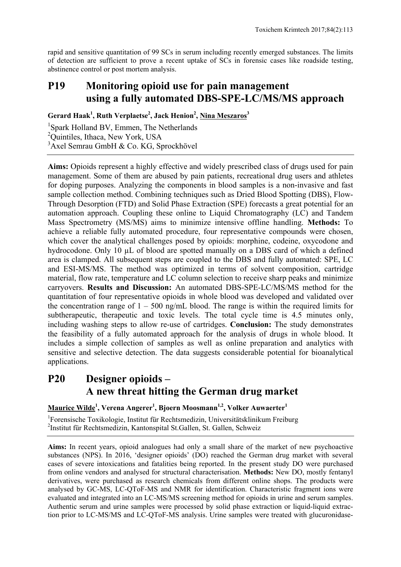rapid and sensitive quantitation of 99 SCs in serum including recently emerged substances. The limits of detection are sufficient to prove a recent uptake of SCs in forensic cases like roadside testing, abstinence control or post mortem analysis.

## **P19 Monitoring opioid use for pain management using a fully automated DBS-SPE-LC/MS/MS approach**

Gerard Haak<sup>1</sup>, Ruth Verplaetse<sup>2</sup>, Jack Henion<sup>2</sup>, Nina Meszaros<sup>3</sup>

<sup>1</sup>Spark Holland BV, Emmen, The Netherlands <sup>2</sup>Quintiles, Ithaca, New York, USA <sup>3</sup> Axel Semrau GmbH & Co. KG, Sprockhövel

**Aims:** Opioids represent a highly effective and widely prescribed class of drugs used for pain management. Some of them are abused by pain patients, recreational drug users and athletes for doping purposes. Analyzing the components in blood samples is a non-invasive and fast sample collection method. Combining techniques such as Dried Blood Spotting (DBS), Flow-Through Desorption (FTD) and Solid Phase Extraction (SPE) forecasts a great potential for an automation approach. Coupling these online to Liquid Chromatography (LC) and Tandem Mass Spectrometry (MS/MS) aims to minimize intensive offline handling. **Methods:** To achieve a reliable fully automated procedure, four representative compounds were chosen, which cover the analytical challenges posed by opioids: morphine, codeine, oxycodone and hydrocodone. Only 10  $\mu$ L of blood are spotted manually on a DBS card of which a defined area is clamped. All subsequent steps are coupled to the DBS and fully automated: SPE, LC and ESI-MS/MS. The method was optimized in terms of solvent composition, cartridge material, flow rate, temperature and LC column selection to receive sharp peaks and minimize carryovers. **Results and Discussion:** An automated DBS-SPE-LC/MS/MS method for the quantitation of four representative opioids in whole blood was developed and validated over the concentration range of  $1 - 500$  ng/mL blood. The range is within the required limits for subtherapeutic, therapeutic and toxic levels. The total cycle time is 4.5 minutes only, including washing steps to allow re-use of cartridges. **Conclusion:** The study demonstrates the feasibility of a fully automated approach for the analysis of drugs in whole blood. It includes a simple collection of samples as well as online preparation and analytics with sensitive and selective detection. The data suggests considerable potential for bioanalytical applications.

## **P20 Designer opioids – A new threat hitting the German drug market**

**Maurice Wilde1 , Verena Angerer1 , Bjoern Moosmann1,2, Volker Auwaerter1**

1 Forensische Toxikologie, Institut für Rechtsmedizin, Universitätsklinikum Freiburg 2 Institut für Rechtsmedizin, Kantonspital St.Gallen, St. Gallen, Schweiz

**Aims:** In recent years, opioid analogues had only a small share of the market of new psychoactive substances (NPS). In 2016, 'designer opioids' (DO) reached the German drug market with several cases of severe intoxications and fatalities being reported. In the present study DO were purchased from online vendors and analysed for structural characterisation. **Methods:** New DO, mostly fentanyl derivatives, were purchased as research chemicals from different online shops. The products were analysed by GC-MS, LC-QToF-MS and NMR for identification. Characteristic fragment ions were evaluated and integrated into an LC-MS/MS screening method for opioids in urine and serum samples. Authentic serum and urine samples were processed by solid phase extraction or liquid-liquid extraction prior to LC-MS/MS and LC-QToF-MS analysis. Urine samples were treated with glucuronidase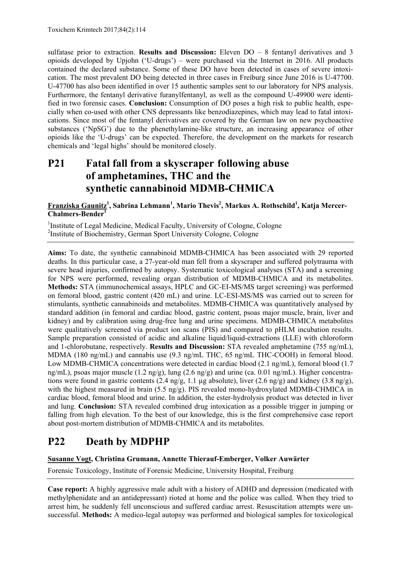sulfatase prior to extraction. **Results and Discussion:** Eleven DO – 8 fentanyl derivatives and 3 opioids developed by Upjohn ('U-drugs') – were purchased via the Internet in 2016. All products contained the declared substance. Some of these DO have been detected in cases of severe intoxication. The most prevalent DO being detected in three cases in Freiburg since June 2016 is U-47700. U-47700 has also been identified in over 15 authentic samples sent to our laboratory for NPS analysis. Furthermore, the fentanyl derivative furanylfentanyl, as well as the compound U-49900 were identified in two forensic cases. **Conclusion:** Consumption of DO poses a high risk to public health, especially when co-used with other CNS depressants like benzodiazepines, which may lead to fatal intoxications. Since most of the fentanyl derivatives are covered by the German law on new psychoactive substances ('NpSG') due to the phenethylamine-like structure, an increasing appearance of other opioids like the 'U-drugs' can be expected. Therefore, the development on the markets for research chemicals and 'legal highs' should be monitored closely.

## **P21 Fatal fall from a skyscraper following abuse of amphetamines, THC and the synthetic cannabinoid MDMB-CHMICA**

**Franziska Gaunitz1 , Sabrina Lehmann1 , Mario Thevis2 , Markus A. Rothschild<sup>1</sup> , Katja Mercer-Chalmers-Bender1** 

<sup>1</sup>Institute of Legal Medicine, Medical Faculty, University of Cologne, Cologne 2 Institute of Biochemistry, German Sport University Cologne, Cologne

**Aims:** To date, the synthetic cannabinoid MDMB-CHMICA has been associated with 29 reported deaths. In this particular case, a 27-year-old man fell from a skyscraper and suffered polytrauma with severe head injuries, confirmed by autopsy. Systematic toxicological analyses (STA) and a screening for NPS were performed, revealing organ distribution of MDMB-CHMICA and its metabolites. **Methods:** STA (immunochemical assays, HPLC and GC-EI-MS/MS target screening) was performed on femoral blood, gastric content (420 mL) and urine. LC-ESI-MS/MS was carried out to screen for stimulants, synthetic cannabinoids and metabolites. MDMB-CHMICA was quantitatively analysed by standard addition (in femoral and cardiac blood, gastric content, psoas major muscle, brain, liver and kidney) and by calibration using drug-free lung and urine specimens. MDMB-CHMICA metabolites were qualitatively screened via product ion scans (PIS) and compared to pHLM incubation results. Sample preparation consisted of acidic and alkaline liquid/liquid-extractions (LLE) with chloroform and 1-chlorobutane, respectively. **Results and Discussion:** STA revealed amphetamine (755 ng/mL), MDMA (180 ng/mL) and cannabis use (9.3 ng/mL THC, 65 ng/mL THC-COOH) in femoral blood. Low MDMB-CHMICA concentrations were detected in cardiac blood (2.1 ng/mL), femoral blood (1.7 ng/mL), psoas major muscle  $(1.2 \text{ ng/g})$ , lung  $(2.6 \text{ ng/g})$  and urine (ca. 0.01 ng/mL). Higher concentrations were found in gastric contents  $(2.4 \text{ ng/g}, 1.1 \text{ ug absolute})$ , liver  $(2.6 \text{ ng/g})$  and kidney  $(3.8 \text{ ng/g})$ , with the highest measured in brain (5.5 ng/g). PIS revealed mono-hydroxylated MDMB-CHMICA in cardiac blood, femoral blood and urine. In addition, the ester-hydrolysis product was detected in liver and lung. **Conclusion:** STA revealed combined drug intoxication as a possible trigger in jumping or falling from high elevation. To the best of our knowledge, this is the first comprehensive case report about post-mortem distribution of MDMB-CHMICA and its metabolites.

## **P22 Death by MDPHP**

#### **Susanne Vogt, Christina Grumann, Annette Thierauf-Emberger, Volker Auwärter**

Forensic Toxicology, Institute of Forensic Medicine, University Hospital, Freiburg

**Case report:** A highly aggressive male adult with a history of ADHD and depression (medicated with methylphenidate and an antidepressant) rioted at home and the police was called. When they tried to arrest him, he suddenly fell unconscious and suffered cardiac arrest. Resuscitation attempts were unsuccessful. **Methods:** A medico-legal autopsy was performed and biological samples for toxicological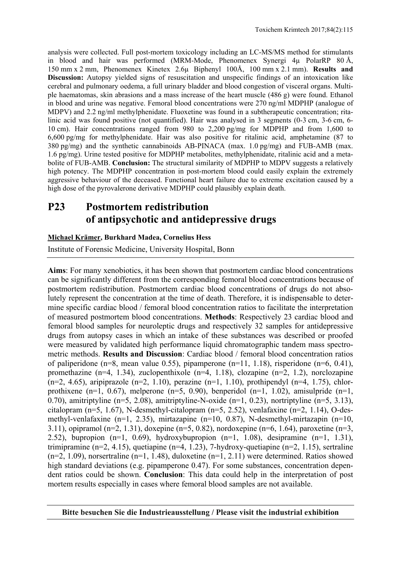analysis were collected. Full post-mortem toxicology including an LC-MS/MS method for stimulants in blood and hair was performed (MRM-Mode, Phenomenex Synergi 4µ PolarRP 80 Å, 150 mm x 2 mm, Phenomenex Kinetex 2.6µ Biphenyl 100Å, 100 mm x 2.1 mm). **Results and Discussion:** Autopsy yielded signs of resuscitation and unspecific findings of an intoxication like cerebral and pulmonary oedema, a full urinary bladder and blood congestion of visceral organs. Multiple haematomas, skin abrasions and a mass increase of the heart muscle (486 g) were found. Ethanol in blood and urine was negative. Femoral blood concentrations were 270 ng/ml MDPHP (analogue of MDPV) and 2.2 ng/ml methylphenidate. Fluoxetine was found in a subtherapeutic concentration; ritalinic acid was found positive (not quantified). Hair was analysed in 3 segments (0-3 cm, 3-6 cm, 6- 10 cm). Hair concentrations ranged from 980 to 2,200 pg/mg for MDPHP and from 1,600 to 6,600 pg/mg for methylphenidate. Hair was also positive for ritalinic acid, amphetamine (87 to 380 pg/mg) and the synthetic cannabinoids AB-PINACA (max. 1.0 pg/mg) and FUB-AMB (max. 1.6 pg/mg). Urine tested positive for MDPHP metabolites, methylphenidate, ritalinic acid and a metabolite of FUB-AMB. **Conclusion:** The structural similarity of MDPHP to MDPV suggests a relatively high potency. The MDPHP concentration in post-mortem blood could easily explain the extremely aggressive behaviour of the deceased. Functional heart failure due to extreme excitation caused by a high dose of the pyrovalerone derivative MDPHP could plausibly explain death.

## **P23 Postmortem redistribution of antipsychotic and antidepressive drugs**

#### **Michael Krämer, Burkhard Madea, Cornelius Hess**

Institute of Forensic Medicine, University Hospital, Bonn

**Aims**: For many xenobiotics, it has been shown that postmortem cardiac blood concentrations can be significantly different from the corresponding femoral blood concentrations because of postmortem redistribution. Postmortem cardiac blood concentrations of drugs do not absolutely represent the concentration at the time of death. Therefore, it is indispensable to determine specific cardiac blood / femoral blood concentration ratios to facilitate the interpretation of measured postmortem blood concentrations. **Methods**: Respectively 23 cardiac blood and femoral blood samples for neuroleptic drugs and respectively 32 samples for antidepressive drugs from autopsy cases in which an intake of these substances was described or proofed were measured by validated high performance liquid chromatographic tandem mass spectrometric methods. **Results and Discussion**: Cardiac blood / femoral blood concentration ratios of paliperidone (n=8, mean value 0.55), pipamperone (n=11, 1.18), risperidone (n=6, 0.41), promethazine (n=4, 1.34), zuclopenthixole (n=4, 1.18), clozapine (n=2, 1.2), norclozapine  $(n=2, 4.65)$ , aripiprazole  $(n=2, 1.10)$ , perazine  $(n=1, 1.10)$ , prothipendyl  $(n=4, 1.75)$ , chlorprothixene (n=1, 0.67), melperone (n=5, 0.90), benperidol (n=1, 1.02), amisulpride (n=1, 0.70), amitriptyline (n=5, 2.08), amitriptyline-N-oxide (n=1, 0.23), nortriptyline (n=5, 3.13), citalopram (n=5, 1.67), N-desmethyl-citalopram (n=5, 2.52), venlafaxine (n=2, 1.14), O-desmethyl-venlafaxine (n=1, 2.35), mirtazapine (n=10, 0.87), N-desmethyl-mirtazapin (n=10, 3.11), opipramol (n=2, 1.31), doxepine (n=5, 0.82), nordoxepine (n=6, 1.64), paroxetine (n=3, 2.52), bupropion  $(n=1, 0.69)$ , hydroxybupropion  $(n=1, 1.08)$ , desipramine  $(n=1, 1.31)$ , trimipramine (n=2, 4.15), quetiapine (n=4, 1.23), 7-hydroxy-quetiapine (n=2, 1.15), sertraline  $(n=2, 1.09)$ , norsertraline  $(n=1, 1.48)$ , duloxetine  $(n=1, 2.11)$  were determined. Ratios showed high standard deviations (e.g. pipamperone 0.47). For some substances, concentration dependent ratios could be shown. **Conclusion**: This data could help in the interpretation of post mortem results especially in cases where femoral blood samples are not available.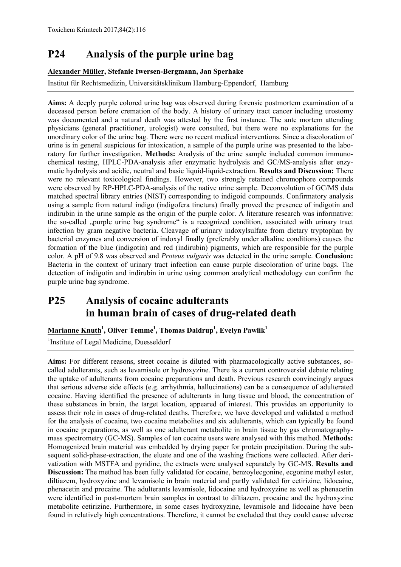## **P24 Analysis of the purple urine bag**

#### **Alexander Müller, Stefanie Iwersen-Bergmann, Jan Sperhake**

Institut für Rechtsmedizin, Universitätsklinikum Hamburg-Eppendorf, Hamburg

**Aims:** A deeply purple colored urine bag was observed during forensic postmortem examination of a deceased person before cremation of the body. A history of urinary tract cancer including urostomy was documented and a natural death was attested by the first instance. The ante mortem attending physicians (general practitioner, urologist) were consulted, but there were no explanations for the unordinary color of the urine bag. There were no recent medical interventions. Since a discoloration of urine is in general suspicious for intoxication, a sample of the purple urine was presented to the laboratory for further investigation. **Methods:** Analysis of the urine sample included common immunochemical testing, HPLC-PDA-analysis after enzymatic hydrolysis and GC/MS-analysis after enzymatic hydrolysis and acidic, neutral and basic liquid-liquid-extraction. **Results and Discussion:** There were no relevant toxicological findings. However, two strongly retained chromophore compounds were observed by RP-HPLC-PDA-analysis of the native urine sample. Deconvolution of GC/MS data matched spectral library entries (NIST) corresponding to indigoid compounds. Confirmatory analysis using a sample from natural indigo (indigofera tinctura) finally proved the presence of indigotin and indirubin in the urine sample as the origin of the purple color. A literature research was informative: the so-called "purple urine bag syndrome" is a recognized condition, associated with urinary tract infection by gram negative bacteria. Cleavage of urinary indoxylsulfate from dietary tryptophan by bacterial enzymes and conversion of indoxyl finally (preferably under alkaline conditions) causes the formation of the blue (indigotin) and red (indirubin) pigments, which are responsible for the purple color. A pH of 9.8 was observed and *Proteus vulgaris* was detected in the urine sample. **Conclusion:** Bacteria in the context of urinary tract infection can cause purple discoloration of urine bags. The detection of indigotin and indirubin in urine using common analytical methodology can confirm the purple urine bag syndrome.

## **P25 Analysis of cocaine adulterants in human brain of cases of drug-related death**

#### **Marianne Knuth<sup>1</sup> , Oliver Temme1 , Thomas Daldrup1 , Evelyn Pawlik1**

<sup>1</sup>Institute of Legal Medicine, Duesseldorf

**Aims:** For different reasons, street cocaine is diluted with pharmacologically active substances, socalled adulterants, such as levamisole or hydroxyzine. There is a current controversial debate relating the uptake of adulterants from cocaine preparations and death. Previous research convincingly argues that serious adverse side effects (e.g. arrhythmia, hallucinations) can be a consequence of adulterated cocaine. Having identified the presence of adulterants in lung tissue and blood, the concentration of these substances in brain, the target location, appeared of interest. This provides an opportunity to assess their role in cases of drug-related deaths. Therefore, we have developed and validated a method for the analysis of cocaine, two cocaine metabolites and six adulterants, which can typically be found in cocaine preparations, as well as one adulterant metabolite in brain tissue by gas chromatographymass spectrometry (GC-MS). Samples of ten cocaine users were analysed with this method. **Methods:**  Homogenized brain material was embedded by drying paper for protein precipitation. During the subsequent solid-phase-extraction, the eluate and one of the washing fractions were collected. After derivatization with MSTFA and pyridine, the extracts were analysed separately by GC-MS. **Results and Discussion:** The method has been fully validated for cocaine, benzoylecgonine, ecgonine methyl ester, diltiazem, hydroxyzine and levamisole in brain material and partly validated for cetirizine, lidocaine, phenacetin and procaine. The adulterants levamisole, lidocaine and hydroxyzine as well as phenacetin were identified in post-mortem brain samples in contrast to diltiazem, procaine and the hydroxyzine metabolite cetirizine. Furthermore, in some cases hydroxyzine, levamisole and lidocaine have been found in relatively high concentrations. Therefore, it cannot be excluded that they could cause adverse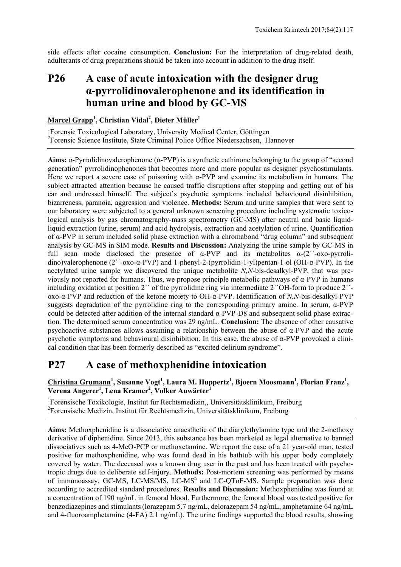side effects after cocaine consumption. **Conclusion:** For the interpretation of drug-related death, adulterants of drug preparations should be taken into account in addition to the drug itself.

## **P26 A case of acute intoxication with the designer drug α-pyrrolidinovalerophenone and its identification in human urine and blood by GC-MS**

#### **Marcel Grapp<sup>1</sup> , Christian Vidal<sup>2</sup> , Dieter Müller1**

<sup>1</sup>Forensic Toxicological Laboratory, University Medical Center, Göttingen 2 Forensic Science Institute, State Criminal Police Office Niedersachsen, Hannover

**Aims:** α-Pyrrolidinovalerophenone (α-PVP) is a synthetic cathinone belonging to the group of "second generation" pyrrolidinophenones that becomes more and more popular as designer psychostimulants. Here we report a severe case of poisoning with α-PVP and examine its metabolism in humans. The subject attracted attention because he caused traffic disruptions after stopping and getting out of his car and undressed himself. The subject's psychotic symptoms included behavioural disinhibition, bizarreness, paranoia, aggression and violence. **Methods:** Serum and urine samples that were sent to our laboratory were subjected to a general unknown screening procedure including systematic toxicological analysis by gas chromatography-mass spectrometry (GC-MS) after neutral and basic liquidliquid extraction (urine, serum) and acid hydrolysis, extraction and acetylation of urine. Quantification of α-PVP in serum included solid phase extraction with a chromabond "drug column" and subsequent analysis by GC-MS in SIM mode. **Results and Discussion:** Analyzing the urine sample by GC-MS in full scan mode disclosed the presence of  $\alpha$ -PVP and its metabolites  $\alpha$ -(2<sup> $\gamma$ </sup>-oxo-pyrrolidino)valerophenone (2´´-oxo-α-PVP) and 1-phenyl-2-(pyrrolidin-1-yl)pentan-1-ol (OH-α-PVP). In the acetylated urine sample we discovered the unique metabolite *N,N*-bis-desalkyl-PVP, that was previously not reported for humans. Thus, we propose principle metabolic pathways of α-PVP in humans including oxidation at position 2<sup>''</sup> of the pyrrolidine ring via intermediate 2<sup>''</sup>OH-form to produce 2<sup>''</sup>oxo-α-PVP and reduction of the ketone moiety to OH-α-PVP. Identification of *N,N*-bis-desalkyl-PVP suggests degradation of the pyrrolidine ring to the corresponding primary amine. In serum,  $\alpha$ -PVP could be detected after addition of the internal standard α-PVP-D8 and subsequent solid phase extraction. The determined serum concentration was 29 ng/mL. **Conclusion:** The absence of other causative psychoactive substances allows assuming a relationship between the abuse of α-PVP and the acute psychotic symptoms and behavioural disinhibition. In this case, the abuse of  $\alpha$ -PVP provoked a clinical condition that has been formerly described as "excited delirium syndrome".

## **P27 A case of methoxphenidine intoxication**

**Christina Grumann<sup>1</sup> , Susanne Vogt1 , Laura M. Huppertz1 , Bjoern Moosmann<sup>1</sup> , Florian Franz1 ,**   $\overline{\text{Verena Angerer}^1, \text{Lena Kramer}^2, \overline{\text{Volker Auwärter}^1}$ 

1 Forensische Toxikologie, Institut für Rechtsmedizin,, Universitätsklinikum, Freiburg 2 Forensische Medizin, Institut für Rechtsmedizin, Universitätsklinikum, Freiburg

**Aims:** Methoxphenidine is a dissociative anaesthetic of the diarylethylamine type and the 2-methoxy derivative of diphenidine. Since 2013, this substance has been marketed as legal alternative to banned dissociatives such as 4-MeO-PCP or methoxetamine. We report the case of a 21 year-old man, tested positive for methoxphenidine, who was found dead in his bathtub with his upper body completely covered by water. The deceased was a known drug user in the past and has been treated with psychotropic drugs due to deliberate self-injury. **Methods:** Post-mortem screening was performed by means of immunoassay, GC-MS, LC-MS/MS, LC-MS<sup>n</sup> and LC-QToF-MS. Sample preparation was done according to accredited standard procedures. **Results and Discussion:** Methoxphenidine was found at a concentration of 190 ng/mL in femoral blood. Furthermore, the femoral blood was tested positive for benzodiazepines and stimulants(lorazepam 5.7 ng/mL, delorazepam 54 ng/mL, amphetamine 64 ng/mL and 4-fluoroamphetamine (4-FA) 2.1 ng/mL). The urine findings supported the blood results, showing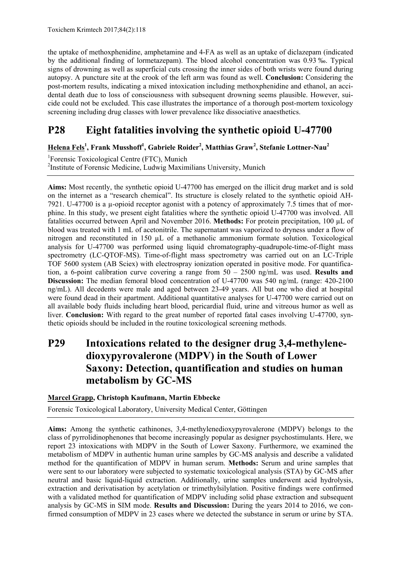the uptake of methoxphenidine, amphetamine and 4-FA as well as an uptake of diclazepam (indicated by the additional finding of lormetazepam). The blood alcohol concentration was 0.93 ‰. Typical signs of drowning as well as superficial cuts crossing the inner sides of both wrists were found during autopsy. A puncture site at the crook of the left arm was found as well. **Conclusion:** Considering the post-mortem results, indicating a mixed intoxication including methoxphenidine and ethanol, an accidental death due to loss of consciousness with subsequent drowning seems plausible. However, suicide could not be excluded. This case illustrates the importance of a thorough post-mortem toxicology screening including drug classes with lower prevalence like dissociative anaesthetics.

## **P28 Eight fatalities involving the synthetic opioid U-47700**

**Helena Fels1 , Frank Musshoff<sup>1</sup> , Gabriele Roider2 , Matthias Graw2 , Stefanie Lottner-Nau<sup>2</sup>**

1 Forensic Toxicological Centre (FTC), Munich <sup>2</sup>Institute of Forensic Medicine, Ludwig Maximilians University, Munich

**Aims:** Most recently, the synthetic opioid U-47700 has emerged on the illicit drug market and is sold on the internet as a "research chemical". Its structure is closely related to the synthetic opioid AH-7921. U-47700 is a µ-opioid receptor agonist with a potency of approximately 7.5 times that of morphine. In this study, we present eight fatalities where the synthetic opioid U-47700 was involved. All fatalities occurred between April and November 2016. **Methods:** For protein precipitation, 100 µL of blood was treated with 1 mL of acetonitrile. The supernatant was vaporized to dryness under a flow of nitrogen and reconstituted in 150 µL of a methanolic ammonium formate solution. Toxicological analysis for U-47700 was performed using liquid chromatography-quadrupole-time-of-flight mass spectrometry (LC-QTOF-MS). Time-of-flight mass spectrometry was carried out on an LC-Triple TOF 5600 system (AB Sciex) with electrospray ionization operated in positive mode. For quantification, a 6-point calibration curve covering a range from 50 – 2500 ng/mL was used. **Results and Discussion:** The median femoral blood concentration of U-47700 was 540 ng/mL (range: 420-2100) ng/mL). All decedents were male and aged between 23-49 years. All but one who died at hospital were found dead in their apartment. Additional quantitative analyses for U-47700 were carried out on all available body fluids including heart blood, pericardial fluid, urine and vitreous humor as well as liver. **Conclusion:** With regard to the great number of reported fatal cases involving U-47700, synthetic opioids should be included in the routine toxicological screening methods.

## **P29 Intoxications related to the designer drug 3,4-methylenedioxypyrovalerone (MDPV) in the South of Lower Saxony: Detection, quantification and studies on human metabolism by GC-MS**

**Marcel Grapp, Christoph Kaufmann, Martin Ebbecke** 

Forensic Toxicological Laboratory, University Medical Center, Göttingen

**Aims:** Among the synthetic cathinones, 3,4-methylenedioxypyrovalerone (MDPV) belongs to the class of pyrrolidinophenones that become increasingly popular as designer psychostimulants. Here, we report 23 intoxications with MDPV in the South of Lower Saxony. Furthermore, we examined the metabolism of MDPV in authentic human urine samples by GC-MS analysis and describe a validated method for the quantification of MDPV in human serum. **Methods:** Serum and urine samples that were sent to our laboratory were subjected to systematic toxicological analysis (STA) by GC-MS after neutral and basic liquid-liquid extraction. Additionally, urine samples underwent acid hydrolysis, extraction and derivatisation by acetylation or trimethylsilylation. Positive findings were confirmed with a validated method for quantification of MDPV including solid phase extraction and subsequent analysis by GC-MS in SIM mode. **Results and Discussion:** During the years 2014 to 2016, we confirmed consumption of MDPV in 23 cases where we detected the substance in serum or urine by STA.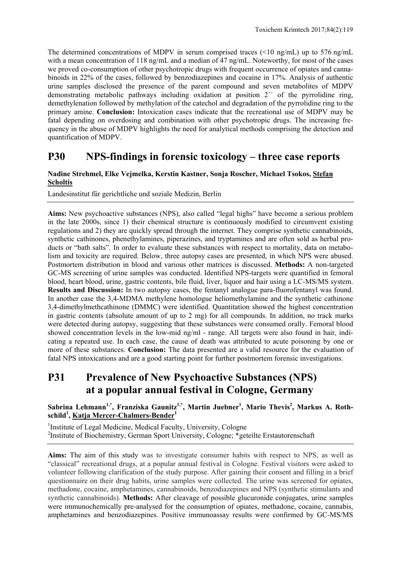The determined concentrations of MDPV in serum comprised traces (<10 ng/mL) up to 576 ng/mL with a mean concentration of 118 ng/mL and a median of 47 ng/mL. Noteworthy, for most of the cases we proved co-consumption of other psychotropic drugs with frequent occurrence of opiates and cannabinoids in 22% of the cases, followed by benzodiazepines and cocaine in 17%. Analysis of authentic urine samples disclosed the presence of the parent compound and seven metabolites of MDPV demonstrating metabolic pathways including oxidation at position 2<sup>'</sup> of the pyrrolidine ring, demethylenation followed by methylation of the catechol and degradation of the pyrrolidine ring to the primary amine. **Conclusion:** Intoxication cases indicate that the recreational use of MDPV may be fatal depending on overdosing and combination with other psychotropic drugs. The increasing frequency in the abuse of MDPV highlights the need for analytical methods comprising the detection and quantification of MDPV.

### **P30 NPS-findings in forensic toxicology – three case reports**

#### **Nadine Strehmel, Elke Vejmelka, Kerstin Kastner, Sonja Roscher, Michael Tsokos, Stefan Scholtis**

Landesinstitut für gerichtliche und soziale Medizin, Berlin

**Aims:** New psychoactive substances (NPS), also called "legal highs" have become a serious problem in the late 2000s, since 1) their chemical structure is continuously modified to circumvent existing regulations and 2) they are quickly spread through the internet. They comprise synthetic cannabinoids, synthetic cathinones, phenethylamines, piperazines, and tryptamines and are often sold as herbal products or "bath salts". In order to evaluate these substances with respect to mortality, data on metabolism and toxicity are required. Below, three autopsy cases are presented, in which NPS were abused. Postmortem distribution in blood and various other matrices is discussed. **Methods:** A non-targeted GC-MS screening of urine samples was conducted. Identified NPS-targets were quantified in femoral blood, heart blood, urine, gastric contents, bile fluid, liver, liquor and hair using a LC-MS/MS system. **Results and Discussion:** In two autopsy cases, the fentanyl analogue para-fluorofentanyl was found. In another case the 3,4-MDMA methylene homologue heliomethylamine and the synthetic cathinone 3,4-dimethylmethcathinone (DMMC) were identified. Quantitation showed the highest concentration in gastric contents (absolute amount of up to 2 mg) for all compounds. In addition, no track marks were detected during autopsy, suggesting that these substances were consumed orally. Femoral blood showed concentration levels in the low-mid ng/ml - range. All targets were also found in hair, indicating a repeated use. In each case, the cause of death was attributed to acute poisoning by one or more of these substances. **Conclusion:** The data presented are a valid resource for the evaluation of fatal NPS intoxications and are a good starting point for further postmortem forensic investigations.

## **P31 Prevalence of New Psychoactive Substances (NPS) at a popular annual festival in Cologne, Germany**

Sabrina Lehmann<sup>1,\*</sup>, Franziska Gaunitz<sup>1,\*</sup>, Martin Juebner<sup>1</sup>, Mario Thevis<sup>2</sup>, Markus A. Roth**schild<sup>1</sup> , Katja Mercer-Chalmers-Bender1**

<sup>1</sup>Institute of Legal Medicine, Medical Faculty, University, Cologne <sup>2</sup>Institute of Biochemistry, German Sport University, Cologne; \*geteilte Erstautorenschaft

**Aims:** The aim of this study was to investigate consumer habits with respect to NPS, as well as "classical" recreational drugs, at a popular annual festival in Cologne. Festival visitors were asked to volunteer following clarification of the study purpose. After gaining their consent and filling in a brief questionnaire on their drug habits, urine samples were collected. The urine was screened for opiates, methadone, cocaine, amphetamines, cannabinoids, benzodiazepines and NPS (synthetic stimulants and synthetic cannabinoids). **Methods:** After cleavage of possible glucuronide conjugates, urine samples were immunochemically pre-analysed for the consumption of opiates, methadone, cocaine, cannabis, amphetamines and benzodiazepines. Positive immunoassay results were confirmed by GC-MS/MS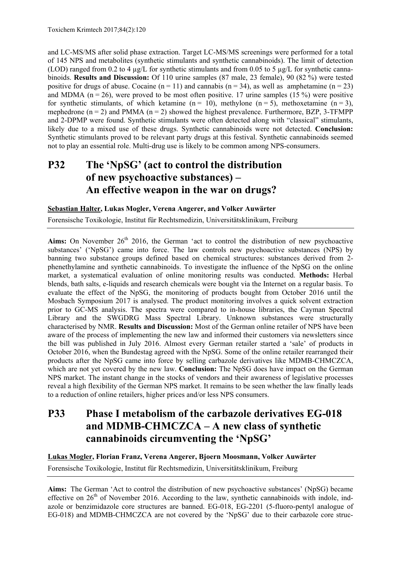and LC-MS/MS after solid phase extraction. Target LC-MS/MS screenings were performed for a total of 145 NPS and metabolites (synthetic stimulants and synthetic cannabinoids). The limit of detection (LOD) ranged from 0.2 to 4 µg/L for synthetic stimulants and from 0.05 to 5 µg/L for synthetic cannabinoids. **Results and Discussion:** Of 110 urine samples (87 male, 23 female), 90 (82 %) were tested positive for drugs of abuse. Cocaine  $(n = 11)$  and cannabis  $(n = 34)$ , as well as amphetamine  $(n = 23)$ and MDMA ( $n = 26$ ), were proved to be most often positive. 17 urine samples (15 %) were positive for synthetic stimulants, of which ketamine (n = 10), methylone (n = 5), methoxetamine (n = 3), mephedrone  $(n = 2)$  and PMMA  $(n = 2)$  showed the highest prevalence. Furthermore, BZP, 3-TFMPP and 2-DPMP were found. Synthetic stimulants were often detected along with "classical" stimulants, likely due to a mixed use of these drugs. Synthetic cannabinoids were not detected. **Conclusion:** Synthetic stimulants proved to be relevant party drugs at this festival. Synthetic cannabinoids seemed not to play an essential role. Multi-drug use is likely to be common among NPS-consumers.

## **P32 The 'NpSG' (act to control the distribution of new psychoactive substances) – An effective weapon in the war on drugs?**

#### **Sebastian Halter, Lukas Mogler, Verena Angerer, and Volker Auwärter**

Forensische Toxikologie, Institut für Rechtsmedizin, Universitätsklinikum, Freiburg

**Aims:** On November  $26<sup>th</sup>$  2016, the German 'act to control the distribution of new psychoactive substances' ('NpSG') came into force. The law controls new psychoactive substances (NPS) by banning two substance groups defined based on chemical structures: substances derived from 2 phenethylamine and synthetic cannabinoids. To investigate the influence of the NpSG on the online market, a systematical evaluation of online monitoring results was conducted. **Methods:** Herbal blends, bath salts, e-liquids and research chemicals were bought via the Internet on a regular basis. To evaluate the effect of the NpSG, the monitoring of products bought from October 2016 until the Mosbach Symposium 2017 is analysed. The product monitoring involves a quick solvent extraction prior to GC-MS analysis. The spectra were compared to in-house libraries, the Cayman Spectral Library and the SWGDRG Mass Spectral Library. Unknown substances were structurally characterised by NMR. **Results and Discussion:** Most of the German online retailer of NPS have been aware of the process of implementing the new law and informed their customers via newsletters since the bill was published in July 2016. Almost every German retailer started a 'sale' of products in October 2016, when the Bundestag agreed with the NpSG. Some of the online retailer rearranged their products after the NpSG came into force by selling carbazole derivatives like MDMB-CHMCZCA, which are not yet covered by the new law. **Conclusion:** The NpSG does have impact on the German NPS market. The instant change in the stocks of vendors and their awareness of legislative processes reveal a high flexibility of the German NPS market. It remains to be seen whether the law finally leads to a reduction of online retailers, higher prices and/or less NPS consumers.

## **P33 Phase I metabolism of the carbazole derivatives EG-018 and MDMB-CHMCZCA – A new class of synthetic cannabinoids circumventing the 'NpSG'**

#### **Lukas Mogler, Florian Franz, Verena Angerer, Bjoern Moosmann, Volker Auwärter**

Forensische Toxikologie, Institut für Rechtsmedizin, Universitätsklinikum, Freiburg

**Aims:** The German 'Act to control the distribution of new psychoactive substances' (NpSG) became effective on  $26<sup>th</sup>$  of November 2016. According to the law, synthetic cannabinoids with indole, indazole or benzimidazole core structures are banned. EG-018, EG-2201 (5-fluoro-pentyl analogue of EG-018) and MDMB-CHMCZCA are not covered by the 'NpSG' due to their carbazole core struc-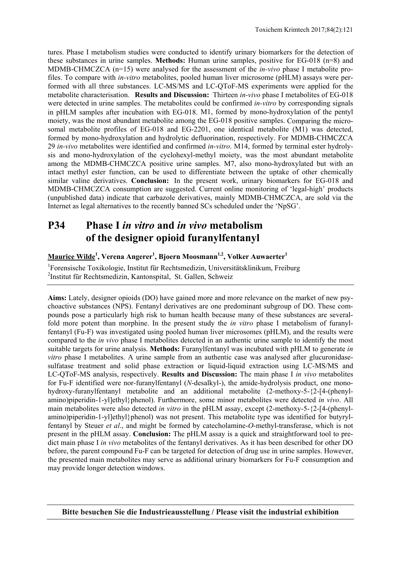tures. Phase I metabolism studies were conducted to identify urinary biomarkers for the detection of these substances in urine samples. **Methods:** Human urine samples, positive for EG-018 (n=8) and MDMB-CHMCZCA (n=15) were analysed for the assessment of the *in-vivo* phase I metabolite profiles. To compare with *in-vitro* metabolites, pooled human liver microsome (pHLM) assays were performed with all three substances. LC-MS/MS and LC-QToF-MS experiments were applied for the metabolite characterisation. **Results and Discussion:** Thirteen *in-vivo* phase I metabolites of EG-018 were detected in urine samples. The metabolites could be confirmed *in-vitro* by corresponding signals in pHLM samples after incubation with EG-018. M1, formed by mono-hydroxylation of the pentyl moiety, was the most abundant metabolite among the EG-018 positive samples. Comparing the microsomal metabolite profiles of EG-018 and EG-2201, one identical metabolite (M1) was detected, formed by mono-hydroxylation and hydrolytic defluorination, respectively. For MDMB-CHMCZCA 29 *in-vivo* metabolites were identified and confirmed *in-vitro*. M14, formed by terminal ester hydrolysis and mono-hydroxylation of the cyclohexyl-methyl moiety, was the most abundant metabolite among the MDMB-CHMCZCA positive urine samples. M7, also mono-hydroxylated but with an intact methyl ester function, can be used to differentiate between the uptake of other chemically similar valine derivatives. **Conclusion:** In the present work, urinary biomarkers for EG-018 and MDMB-CHMCZCA consumption are suggested. Current online monitoring of 'legal-high' products (unpublished data) indicate that carbazole derivatives, mainly MDMB-CHMCZCA, are sold via the Internet as legal alternatives to the recently banned SCs scheduled under the 'NpSG'.

## **P34 Phase I** *in vitro* **and** *in vivo* **metabolism of the designer opioid furanylfentanyl**

#### **Maurice Wilde1 , Verena Angerer1 , Bjoern Moosmann1,2, Volker Auwaerter1**

1 Forensische Toxikologie, Institut für Rechtsmedizin, Universitätsklinikum, Freiburg 2 Institut für Rechtsmedizin, Kantonspital, St. Gallen, Schweiz

**Aims:** Lately, designer opioids (DO) have gained more and more relevance on the market of new psychoactive substances (NPS). Fentanyl derivatives are one predominant subgroup of DO. These compounds pose a particularly high risk to human health because many of these substances are severalfold more potent than morphine. In the present study the *in vitro* phase I metabolism of furanylfentanyl (Fu-F) was investigated using pooled human liver microsomes (pHLM), and the results were compared to the *in vivo* phase I metabolites detected in an authentic urine sample to identify the most suitable targets for urine analysis. **Methods:** Furanylfentanyl was incubated with pHLM to generate *in vitro* phase I metabolites. A urine sample from an authentic case was analysed after glucuronidasesulfatase treatment and solid phase extraction or liquid-liquid extraction using LC-MS/MS and LC-QToF-MS analysis, respectively. **Results and Discussion:** The main phase I *in vivo* metabolites for Fu-F identified were nor-furanylfentanyl (*N*-desalkyl-), the amide-hydrolysis product, one monohydroxy-furanylfentanyl metabolite and an additional metabolite (2-methoxy-5-{2-[4-(phenylamino)piperidin-1-yl]ethyl}phenol). Furthermore, some minor metabolites were detected *in vivo*. All main metabolites were also detected *in vitro* in the pHLM assay, except (2-methoxy-5-{2-[4-(phenylamino)piperidin-1-yl]ethyl}phenol) was not present. This metabolite type was identified for butyrylfentanyl by Steuer *et al*., and might be formed by catecholamine-*O*-methyl-transferase, which is not present in the pHLM assay. **Conclusion:** The pHLM assay is a quick and straightforward tool to predict main phase I *in vivo* metabolites of the fentanyl derivatives. As it has been described for other DO before, the parent compound Fu-F can be targeted for detection of drug use in urine samples. However, the presented main metabolites may serve as additional urinary biomarkers for Fu-F consumption and may provide longer detection windows.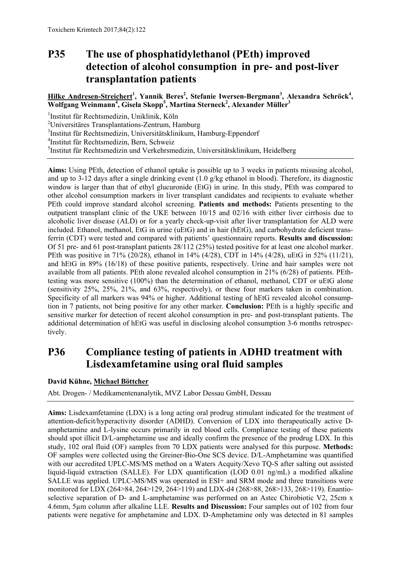## **P35 The use of phosphatidylethanol (PEth) improved detection of alcohol consumption in pre- and post-liver transplantation patients**

#### **Hilke Andresen-Streichert<sup>1</sup> , Yannik Beres2 , Stefanie Iwersen-Bergmann<sup>3</sup> , Alexandra Schröck4 , Wolfgang Weinmann<sup>4</sup> , Gisela Skopp5 , Martina Sterneck<sup>2</sup> , Alexander Müller3**

1 Institut für Rechtsmedizin, Uniklinik, Köln

<sup>2</sup>Universitäres Transplantations-Zentrum, Hamburg

3 Institut für Rechtsmedizin, Universitätsklinikum, Hamburg-Eppendorf

4 Institut für Rechtsmedizin, Bern, Schweiz

5 Institut für Rechtsmedizin und Verkehrsmedizin, Universitätsklinikum, Heidelberg

**Aims:** Using PEth, detection of ethanol uptake is possible up to 3 weeks in patients misusing alcohol, and up to 3-12 days after a single drinking event (1.0 g/kg ethanol in blood). Therefore, its diagnostic window is larger than that of ethyl glucuronide (EtG) in urine. In this study, PEth was compared to other alcohol consumption markers in liver transplant candidates and recipients to evaluate whether PEth could improve standard alcohol screening. **Patients and methods:** Patients presenting to the outpatient transplant clinic of the UKE between 10/15 and 02/16 with either liver cirrhosis due to alcoholic liver disease (ALD) or for a yearly check-up-visit after liver transplantation for ALD were included. Ethanol, methanol, EtG in urine (uEtG) and in hair (hEtG), and carbohydrate deficient transferrin (CDT) were tested and compared with patients' questionnaire reports. **Results and discussion:**  Of 51 pre- and 61 post-transplant patients 28/112 (25%) tested positive for at least one alcohol marker. PEth was positive in 71% (20/28), ethanol in 14% (4/28), CDT in 14% (4/28), uEtG in 52% (11/21), and hEtG in 89% (16/18) of these positive patients, respectively. Urine and hair samples were not available from all patients. PEth alone revealed alcohol consumption in 21% (6/28) of patients. PEthtesting was more sensitive (100%) than the determination of ethanol, methanol, CDT or uEtG alone (sensitivity 25%, 25%, 21%, and 63%, respectively), or these four markers taken in combination. Specificity of all markers was 94% or higher. Additional testing of hEtG revealed alcohol consumption in 7 patients, not being positive for any other marker. **Conclusion:** PEth is a highly specific and sensitive marker for detection of recent alcohol consumption in pre- and post-transplant patients. The additional determination of hEtG was useful in disclosing alcohol consumption 3-6 months retrospectively.

## **P36 Compliance testing of patients in ADHD treatment with Lisdexamfetamine using oral fluid samples**

#### **David Kühne, Michael Böttcher**

Abt. Drogen- / Medikamentenanalytik, MVZ Labor Dessau GmbH, Dessau

**Aims:** Lisdexamfetamine (LDX) is a long acting oral prodrug stimulant indicated for the treatment of attention-deficit/hyperactivity disorder (ADHD). Conversion of LDX into therapeutically active Damphetamine and L-lysine occurs primarily in red blood cells. Compliance testing of these patients should spot illicit D/L-amphetamine use and ideally confirm the presence of the prodrug LDX. In this study, 102 oral fluid (OF) samples from 70 LDX patients were analysed for this purpose. **Methods:** OF samples were collected using the Greiner-Bio-One SCS device. D/L-Amphetamine was quantified with our accredited UPLC-MS/MS method on a Waters Acquity/Xevo TQ-S after salting out assisted liquid-liquid extraction (SALLE). For LDX quantification (LOD 0.01 ng/mL) a modified alkaline SALLE was applied. UPLC-MS/MS was operated in ESI+ and SRM mode and three transitions were monitored for LDX (264>84, 264>129, 264>119) and LDX-d4 (268>88, 268>133, 268>119). Enantioselective separation of D- and L-amphetamine was performed on an Astec Chirobiotic V2, 25cm x 4.6mm, 5µm column after alkaline LLE. **Results and Discussion:** Four samples out of 102 from four patients were negative for amphetamine and LDX. D-Amphetamine only was detected in 81 samples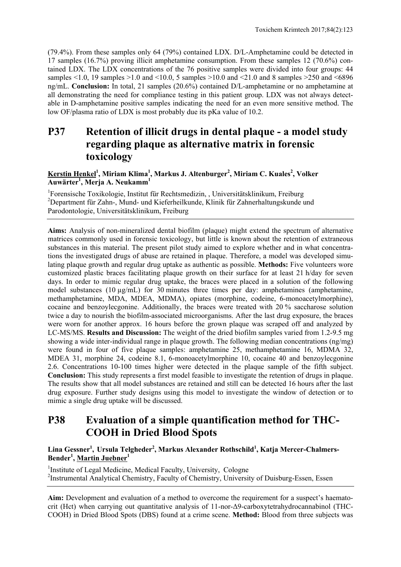(79.4%). From these samples only 64 (79%) contained LDX. D/L-Amphetamine could be detected in 17 samples (16.7%) proving illicit amphetamine consumption. From these samples 12 (70.6%) contained LDX. The LDX concentrations of the 76 positive samples were divided into four groups: 44 samples  $<1.0$ , 19 samples  $>1.0$  and  $<10.0$ , 5 samples  $>10.0$  and  $<21.0$  and 8 samples  $>250$  and  $<6896$ ng/mL. **Conclusion:** In total, 21 samples (20.6%) contained D/L-amphetamine or no amphetamine at all demonstrating the need for compliance testing in this patient group. LDX was not always detectable in D-amphetamine positive samples indicating the need for an even more sensitive method. The low OF/plasma ratio of LDX is most probably due its pKa value of 10.2.

## **P37 Retention of illicit drugs in dental plaque - a model study regarding plaque as alternative matrix in forensic toxicology**

#### **Kerstin Henkel1 , Miriam Klima1 , Markus J. Altenburger2 , Miriam C. Kuales2 , Volker Auwärter1 , Merja A. Neukamm1**

<sup>1</sup>Forensische Toxikologie, Institut für Rechtsmedizin, Universitätsklinikum, Freiburg 2 Department für Zahn-, Mund- und Kieferheilkunde, Klinik für Zahnerhaltungskunde und Parodontologie, Universitätsklinikum, Freiburg

**Aims:** Analysis of non-mineralized dental biofilm (plaque) might extend the spectrum of alternative matrices commonly used in forensic toxicology, but little is known about the retention of extraneous substances in this material. The present pilot study aimed to explore whether and in what concentrations the investigated drugs of abuse are retained in plaque. Therefore, a model was developed simulating plaque growth and regular drug uptake as authentic as possible. **Methods:** Five volunteers wore customized plastic braces facilitating plaque growth on their surface for at least 21 h/day for seven days. In order to mimic regular drug uptake, the braces were placed in a solution of the following model substances (10  $\mu$ g/mL) for 30 minutes three times per day: amphetamines (amphetamine, methamphetamine, MDA, MDEA, MDMA), opiates (morphine, codeine, 6-monoacetylmorphine), cocaine and benzoylecgonine. Additionally, the braces were treated with 20 % saccharose solution twice a day to nourish the biofilm-associated microorganisms. After the last drug exposure, the braces were worn for another approx. 16 hours before the grown plaque was scraped off and analyzed by LC-MS/MS. **Results and Discussion:** The weight of the dried biofilm samples varied from 1.2-9.5 mg showing a wide inter-individual range in plaque growth. The following median concentrations (ng/mg) were found in four of five plaque samples: amphetamine 25, methamphetamine 16, MDMA 32, MDEA 31, morphine 24, codeine 8.1, 6-monoacetylmorphine 10, cocaine 40 and benzoylecgonine 2.6. Concentrations 10-100 times higher were detected in the plaque sample of the fifth subject. **Conclusion:** This study represents a first model feasible to investigate the retention of drugs in plaque. The results show that all model substances are retained and still can be detected 16 hours after the last drug exposure. Further study designs using this model to investigate the window of detection or to mimic a single drug uptake will be discussed.

## **P38 Evaluation of a simple quantification method for THC-COOH in Dried Blood Spots**

#### Lina Gessner<sup>1</sup>, Ursula Telgheder<sup>2</sup>, Markus Alexander Rothschild<sup>1</sup>, Katja Mercer-Chalmers-**Bender1 , Martin Juebner<sup>1</sup>**

<sup>1</sup>Institute of Legal Medicine, Medical Faculty, University, Cologne <sup>2</sup>Instrumental Analytical Chemistry, Faculty of Chemistry, University of Duisburg-Essen, Essen

**Aim:** Development and evaluation of a method to overcome the requirement for a suspect's haematocrit (Hct) when carrying out quantitative analysis of 11-nor-Δ9-carboxytetrahydrocannabinol (THC-COOH) in Dried Blood Spots (DBS) found at a crime scene. **Method:** Blood from three subjects was